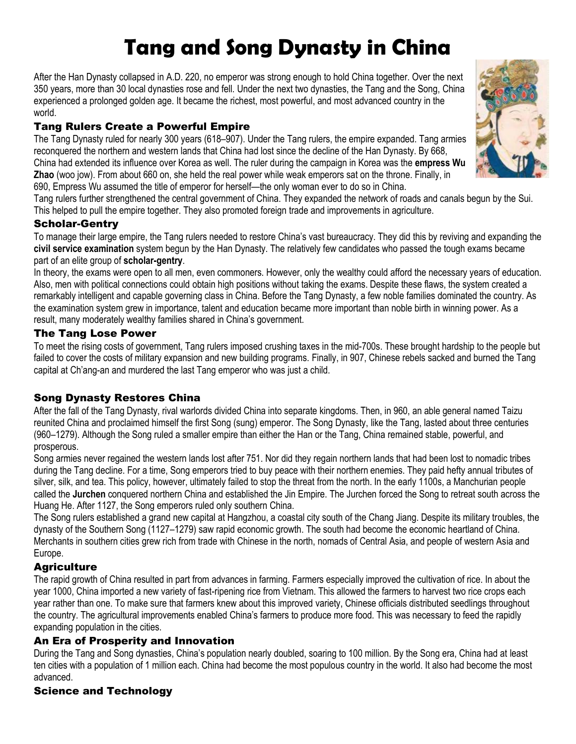# **Tang and Song Dynasty in China**

After the Han Dynasty collapsed in A.D. 220, no emperor was strong enough to hold China together. Over the next 350 years, more than 30 local dynasties rose and fell. Under the next two dynasties, the Tang and the Song, China experienced a prolonged golden age. It became the richest, most powerful, and most advanced country in the world.

## Tang Rulers Create a Powerful Empire

The Tang Dynasty ruled for nearly 300 years (618–907). Under the Tang rulers, the empire expanded. Tang armies reconquered the northern and western lands that China had lost since the decline of the Han Dynasty. By 668, China had extended its influence over Korea as well. The ruler during the campaign in Korea was the **empress Wu Zhao** (woo jow). From about 660 on, she held the real power while weak emperors sat on the throne. Finally, in 690, Empress Wu assumed the title of emperor for herself—the only woman ever to do so in China.

Tang rulers further strengthened the central government of China. They expanded the network of roads and canals begun by the Sui. This helped to pull the empire together. They also promoted foreign trade and improvements in agriculture.

## Scholar-Gentry

To manage their large empire, the Tang rulers needed to restore China's vast bureaucracy. They did this by reviving and expanding the **civil service examination** system begun by the Han Dynasty. The relatively few candidates who passed the tough exams became part of an elite group of **scholar-gentry**.

In theory, the exams were open to all men, even commoners. However, only the wealthy could afford the necessary years of education. Also, men with political connections could obtain high positions without taking the exams. Despite these flaws, the system created a remarkably intelligent and capable governing class in China. Before the Tang Dynasty, a few noble families dominated the country. As the examination system grew in importance, talent and education became more important than noble birth in winning power. As a result, many moderately wealthy families shared in China's government.

#### The Tang Lose Power

To meet the rising costs of government, Tang rulers imposed crushing taxes in the mid-700s. These brought hardship to the people but failed to cover the costs of military expansion and new building programs. Finally, in 907, Chinese rebels sacked and burned the Tang capital at Ch'ang-an and murdered the last Tang emperor who was just a child.

## Song Dynasty Restores China

After the fall of the Tang Dynasty, rival warlords divided China into separate kingdoms. Then, in 960, an able general named Taizu reunited China and proclaimed himself the first Song (sung) emperor. The Song Dynasty, like the Tang, lasted about three centuries (960–1279). Although the Song ruled a smaller empire than either the Han or the Tang, China remained stable, powerful, and prosperous.

Song armies never regained the western lands lost after 751. Nor did they regain northern lands that had been lost to nomadic tribes during the Tang decline. For a time, Song emperors tried to buy peace with their northern enemies. They paid hefty annual tributes of silver, silk, and tea. This policy, however, ultimately failed to stop the threat from the north. In the early 1100s, a Manchurian people called the **Jurchen** conquered northern China and established the Jin Empire. The Jurchen forced the Song to retreat south across the Huang He. After 1127, the Song emperors ruled only southern China.

The Song rulers established a grand new capital at Hangzhou, a coastal city south of the Chang Jiang. Despite its military troubles, the dynasty of the Southern Song (1127–1279) saw rapid economic growth. The south had become the economic heartland of China. Merchants in southern cities grew rich from trade with Chinese in the north, nomads of Central Asia, and people of western Asia and Europe.

## **Agriculture**

The rapid growth of China resulted in part from advances in farming. Farmers especially improved the cultivation of rice. In about the year 1000, China imported a new variety of fast-ripening rice from Vietnam. This allowed the farmers to harvest two rice crops each year rather than one. To make sure that farmers knew about this improved variety, Chinese officials distributed seedlings throughout the country. The agricultural improvements enabled China's farmers to produce more food. This was necessary to feed the rapidly expanding population in the cities.

## An Era of Prosperity and Innovation

During the Tang and Song dynasties, China's population nearly doubled, soaring to 100 million. By the Song era, China had at least ten cities with a population of 1 million each. China had become the most populous country in the world. It also had become the most advanced.

## Science and Technology